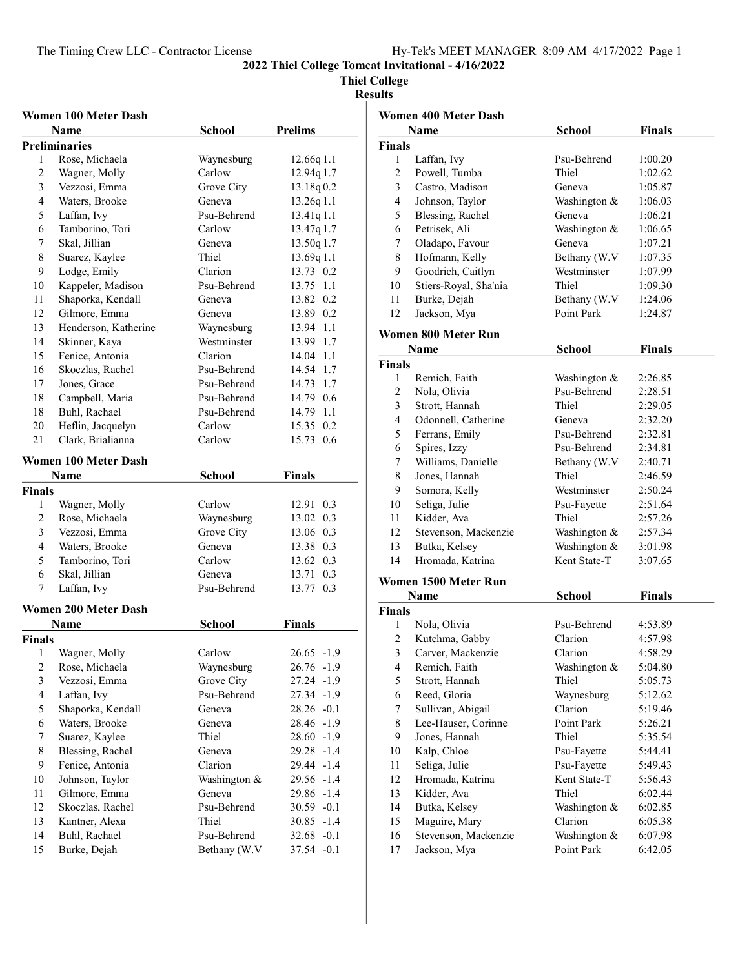## Thiel College

Results

|                         | <b>Women 100 Meter Dash</b> |               |                 |
|-------------------------|-----------------------------|---------------|-----------------|
|                         | Name                        | <b>School</b> | <b>Prelims</b>  |
|                         | <b>Preliminaries</b>        |               |                 |
| 1                       | Rose, Michaela              | Waynesburg    | 12.66q1.1       |
| 2                       | Wagner, Molly               | Carlow        | 12.94q 1.7      |
| 3                       | Vezzosi, Emma               | Grove City    | 13.18q 0.2      |
| $\overline{4}$          | Waters, Brooke              | Geneva        | 13.26q 1.1      |
| 5                       | Laffan, Ivy                 | Psu-Behrend   | 13.41q 1.1      |
| 6                       | Tamborino, Tori             | Carlow        | 13.47q 1.7      |
| 7                       | Skal, Jillian               | Geneva        | 13.50q 1.7      |
| 8                       | Suarez, Kaylee              | Thiel         | 13.69q 1.1      |
| 9                       | Lodge, Emily                | Clarion       | 13.73 0.2       |
| 10                      | Kappeler, Madison           | Psu-Behrend   | 13.75 1.1       |
| 11                      | Shaporka, Kendall           | Geneva        | 13.82 0.2       |
| 12                      | Gilmore, Emma               | Geneva        | 13.89 0.2       |
| 13                      | Henderson, Katherine        | Waynesburg    | 13.94 1.1       |
| 14                      | Skinner, Kaya               | Westminster   | 13.99 1.7       |
| 15                      | Fenice, Antonia             | Clarion       | 14.04 1.1       |
| 16                      | Skoczlas, Rachel            | Psu-Behrend   | 14.54 1.7       |
| 17                      | Jones, Grace                | Psu-Behrend   | 14.73 1.7       |
| 18                      | Campbell, Maria             | Psu-Behrend   | 14.79 0.6       |
| 18                      | Buhl, Rachael               | Psu-Behrend   | 14.79 1.1       |
| 20                      | Heflin, Jacquelyn           | Carlow        | 15.35 0.2       |
| 21                      | Clark, Brialianna           | Carlow        | 15.73 0.6       |
|                         | <b>Women 100 Meter Dash</b> |               |                 |
|                         | Name                        | <b>School</b> | <b>Finals</b>   |
| <b>Finals</b>           |                             |               |                 |
| 1                       | Wagner, Molly               | Carlow        | 12.91<br>0.3    |
| $\mathfrak{2}$          | Rose, Michaela              | Waynesburg    | 13.02<br>0.3    |
| 3                       | Vezzosi, Emma               | Grove City    | 13.06 0.3       |
| $\overline{4}$          | Waters, Brooke              | Geneva        | 13.38 0.3       |
| 5                       | Tamborino, Tori             | Carlow        | 13.62 0.3       |
| 6                       | Skal, Jillian               | Geneva        | 13.71 0.3       |
| 7                       | Laffan, Ivy                 | Psu-Behrend   | 13.77 0.3       |
|                         |                             |               |                 |
|                         | <b>Women 200 Meter Dash</b> |               |                 |
|                         | Name                        | School        | <b>Finals</b>   |
| <b>Finals</b>           |                             |               |                 |
|                         | 1 Wagner, Molly             | Carlow        | $26.65 - 1.9$   |
| 2                       | Rose, Michaela              | Waynesburg    | 26.76<br>$-1.9$ |
| $\mathfrak{Z}$          | Vezzosi, Emma               | Grove City    | 27.24<br>$-1.9$ |
| $\overline{\mathbf{4}}$ | Laffan, Ivy                 | Psu-Behrend   | $-1.9$<br>27.34 |
| 5                       | Shaporka, Kendall           | Geneva        | 28.26<br>$-0.1$ |
| 6                       | Waters, Brooke              | Geneva        | 28.46<br>$-1.9$ |
| $\boldsymbol{7}$        | Suarez, Kaylee              | Thiel         | 28.60<br>$-1.9$ |
| $\,$ $\,$               | Blessing, Rachel            | Geneva        | 29.28<br>$-1.4$ |
| 9                       | Fenice, Antonia             | Clarion       | 29.44<br>$-1.4$ |
| 10                      | Johnson, Taylor             | Washington &  | 29.56 -1.4      |
| 11                      | Gilmore, Emma               | Geneva        | 29.86 -1.4      |
| 12                      | Skoczlas, Rachel            | Psu-Behrend   | 30.59<br>$-0.1$ |
| 13                      | Kantner, Alexa              | Thiel         | $-1.4$<br>30.85 |
| 14                      | Buhl, Rachael               | Psu-Behrend   | $-0.1$<br>32.68 |
| 15                      | Burke, Dejah                | Bethany (W.V  | 37.54<br>$-0.1$ |

|                | <b>Women 400 Meter Dash</b> |               |               |
|----------------|-----------------------------|---------------|---------------|
|                | Name                        | <b>School</b> | <b>Finals</b> |
| Finals         |                             |               |               |
| 1              | Laffan, Ivy                 | Psu-Behrend   | 1:00.20       |
| $\mathfrak{2}$ | Powell, Tumba               | Thiel         | 1:02.62       |
| 3              | Castro, Madison             | Geneva        | 1:05.87       |
| $\overline{4}$ | Johnson, Taylor             | Washington &  | 1:06.03       |
| 5              | Blessing, Rachel            | Geneva        | 1:06.21       |
| 6              | Petrisek, Ali               | Washington &  | 1:06.65       |
| 7              | Oladapo, Favour             | Geneva        | 1:07.21       |
| 8              | Hofmann, Kelly              | Bethany (W.V  | 1:07.35       |
| 9              | Goodrich, Caitlyn           | Westminster   | 1:07.99       |
| 10             | Stiers-Royal, Sha'nia       | Thiel         | 1:09.30       |
| 11             | Burke, Dejah                | Bethany (W.V  | 1:24.06       |
| 12             | Jackson, Mya                | Point Park    | 1:24.87       |
|                | Women 800 Meter Run         |               |               |
|                | Name                        | School        | <b>Finals</b> |
| <b>Finals</b>  |                             |               |               |
| 1              | Remich, Faith               | Washington &  | 2:26.85       |
| 2              | Nola, Olivia                | Psu-Behrend   | 2:28.51       |
| 3              | Strott, Hannah              | Thiel         | 2:29.05       |
| 4              | Odonnell, Catherine         | Geneva        | 2:32.20       |
| 5              | Ferrans, Emily              | Psu-Behrend   | 2:32.81       |
| 6              | Spires, Izzy                | Psu-Behrend   | 2:34.81       |
| 7              | Williams, Danielle          | Bethany (W.V  | 2:40.71       |
| 8              | Jones, Hannah               | Thiel         | 2:46.59       |
| 9              | Somora, Kelly               | Westminster   | 2:50.24       |
| 10             | Seliga, Julie               | Psu-Fayette   | 2:51.64       |
| 11             | Kidder, Ava                 | Thiel         | 2:57.26       |
| 12             | Stevenson, Mackenzie        | Washington &  | 2:57.34       |
| 13             | Butka, Kelsey               | Washington &  | 3:01.98       |
| 14             | Hromada, Katrina            | Kent State-T  | 3:07.65       |
|                | Women 1500 Meter Run        |               |               |
|                | Name                        | <b>School</b> | <b>Finals</b> |
| <b>Finals</b>  |                             |               |               |
| 1              | Nola, Olivia                | Psu-Behrend   | 4:53.89       |
| 2              | Kutchma, Gabby              | Clarion       | 4:57.98       |
| 3              | Carver, Mackenzie           | Clarion       | 4:58.29       |
| 4              | Remich, Faith               | Washington &  | 5:04.80       |
| 5              | Strott, Hannah              | Thiel         | 5:05.73       |
| 6              | Reed, Gloria                | Waynesburg    | 5:12.62       |
| $\tau$         | Sullivan, Abigail           | Clarion       | 5:19.46       |
| $\,$ $\,$      | Lee-Hauser, Corinne         | Point Park    | 5:26.21       |
| 9              | Jones, Hannah               | Thiel         | 5:35.54       |
| $10\,$         | Kalp, Chloe                 | Psu-Fayette   | 5:44.41       |
| 11             | Seliga, Julie               | Psu-Fayette   | 5:49.43       |
| 12             | Hromada, Katrina            | Kent State-T  | 5:56.43       |
| 13             | Kidder, Ava                 | Thiel         | 6:02.44       |
| 14             | Butka, Kelsey               | Washington &  | 6:02.85       |
| 15             | Maguire, Mary               | Clarion       | 6:05.38       |
| 16             | Stevenson, Mackenzie        | Washington &  | 6:07.98       |
| 17             | Jackson, Mya                | Point Park    | 6:42.05       |
|                |                             |               |               |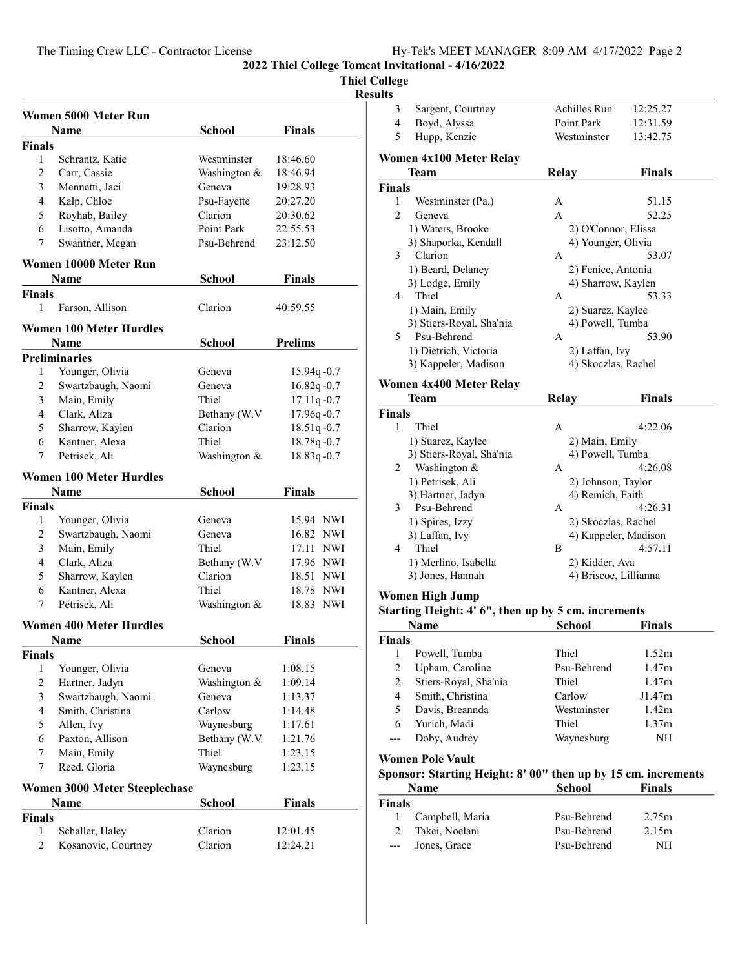Thiel College

Result

|                          | Women 5000 Meter Run                 |               |                     |
|--------------------------|--------------------------------------|---------------|---------------------|
|                          | Name                                 | School        | <b>Finals</b>       |
| Finals                   |                                      |               |                     |
| $\mathbf{1}$             | Schrantz, Katie                      | Westminster   | 18:46.60            |
| 2                        | Carr, Cassie                         | Washington &  | 18:46.94            |
| 3                        | Mennetti, Jaci                       | Geneva        | 19:28.93            |
| 4                        | Kalp, Chloe                          | Psu-Fayette   | 20:27.20            |
| 5                        | Royhab, Bailey                       | Clarion       | 20:30.62            |
| 6                        | Lisotto, Amanda                      | Point Park    | 22:55.53            |
| 7                        | Swantner, Megan                      | Psu-Behrend   | 23:12.50            |
|                          | Women 10000 Meter Run                |               |                     |
|                          | <b>Name</b>                          | <b>School</b> | Finals              |
| <b>Finals</b>            |                                      |               |                     |
| 1                        | Farson, Allison                      | Clarion       | 40:59.55            |
|                          |                                      |               |                     |
|                          | Women 100 Meter Hurdles              |               |                     |
|                          | Name                                 | <b>School</b> | <b>Prelims</b>      |
|                          | <b>Preliminaries</b>                 |               |                     |
| 1                        | Younger, Olivia                      | Geneva        | $15.94q - 0.7$      |
| 2                        | Swartzbaugh, Naomi                   | Geneva        | $16.82q - 0.7$      |
| 3                        | Main, Emily                          | Thiel         | $17.11q - 0.7$      |
| 4                        | Clark, Aliza                         | Bethany (W.V  | 17.96q-0.7          |
| 5                        | Sharrow, Kaylen                      | Clarion       | $18.51q - 0.7$      |
| 6                        | Kantner, Alexa                       | Thiel         | 18.78q-0.7          |
| 7                        | Petrisek, Ali                        | Washington &  | 18.83q-0.7          |
|                          | <b>Women 100 Meter Hurdles</b>       |               |                     |
|                          | <b>Name</b>                          | <b>School</b> | <b>Finals</b>       |
| <b>Finals</b>            |                                      |               |                     |
| 1                        | Younger, Olivia                      | Geneva        | 15.94 NWI           |
| 2                        | Swartzbaugh, Naomi                   | Geneva        | 16.82 NWI           |
| 3                        | Main, Emily                          | Thiel         | 17.11<br>NWI        |
| 4                        | Clark, Aliza                         | Bethany (W.V  | 17.96 NWI           |
| 5                        | Sharrow, Kaylen                      | Clarion       | 18.51<br>NWI        |
| 6                        | Kantner, Alexa                       | Thiel         | 18.78 NWI           |
| 7                        | Petrisek, Ali                        | Washington &  | 18.83<br><b>NWI</b> |
|                          |                                      |               |                     |
|                          | Women 400 Meter Hurdles              |               |                     |
|                          | Name                                 | School        | Finals              |
| Finals                   |                                      |               |                     |
| 1                        | Younger, Olivia                      | Geneva        | 1:08.15             |
| $\overline{2}$           | Hartner, Jadyn                       | Washington &  | 1:09.14             |
| 3                        | Swartzbaugh, Naomi                   | Geneva        | 1:13.37             |
| $\overline{\mathcal{L}}$ | Smith, Christina                     | Carlow        | 1:14.48             |
| 5                        | Allen, Ivy                           | Waynesburg    | 1:17.61             |
| 6                        | Paxton, Allison                      | Bethany (W.V  | 1:21.76             |
| 7                        | Main, Emily                          | Thiel         | 1:23.15             |
| 7                        | Reed, Gloria                         | Waynesburg    | 1:23.15             |
|                          | <b>Women 3000 Meter Steeplechase</b> |               |                     |
|                          | <b>Name</b>                          | <b>School</b> | <b>Finals</b>       |
| <b>Finals</b>            |                                      |               |                     |
| 1                        | Schaller, Haley                      | Clarion       | 12:01.45            |
| 2                        | Kosanovic, Courtney                  | Clarion       | 12:24.21            |
|                          |                                      |               |                     |

| ults                 |                                                               |                    |                       |
|----------------------|---------------------------------------------------------------|--------------------|-----------------------|
| 3                    | Sargent, Courtney                                             | Achilles Run       | 12:25.27              |
| 4                    | Boyd, Alyssa                                                  | Point Park         | 12:31.59              |
| 5                    | Hupp, Kenzie                                                  | Westminster        | 13:42.75              |
|                      | Women 4x100 Meter Relay                                       |                    |                       |
|                      | Team                                                          | <b>Relay</b>       | <b>Finals</b>         |
| <b>Finals</b>        |                                                               |                    |                       |
| 1                    | Westminster (Pa.)                                             | A                  | 51.15                 |
| $\mathfrak{D}$       | Geneva                                                        | A                  | 52.25                 |
|                      |                                                               |                    |                       |
|                      | 1) Waters, Brooke<br>3) Shaporka, Kendall                     | 4) Younger, Olivia | 2) O'Connor, Elissa   |
| 3                    | Clarion                                                       | A                  | 53.07                 |
|                      | 1) Beard, Delaney                                             | 2) Fenice, Antonia |                       |
|                      | 3) Lodge, Emily                                               |                    | 4) Sharrow, Kaylen    |
| 4                    | Thiel                                                         | A                  | 53.33                 |
|                      | 1) Main, Emily                                                | 2) Suarez, Kaylee  |                       |
|                      | 3) Stiers-Royal, Sha'nia                                      | 4) Powell, Tumba   |                       |
|                      | 5 Psu-Behrend                                                 | A                  | 53.90                 |
|                      | 1) Dietrich, Victoria                                         | 2) Laffan, Ivy     |                       |
|                      | 3) Kappeler, Madison                                          |                    | 4) Skoczlas, Rachel   |
|                      |                                                               |                    |                       |
|                      | Women 4x400 Meter Relay                                       |                    |                       |
|                      | Team                                                          | Relay              | Finals                |
| <b>Finals</b>        |                                                               |                    |                       |
| 1                    | Thiel                                                         | A                  | 4:22.06               |
|                      | 1) Suarez, Kaylee                                             | 2) Main, Emily     |                       |
|                      | 3) Stiers-Royal, Sha'nia                                      | 4) Powell, Tumba   |                       |
| $\mathbf{2}^{\circ}$ | Washington &                                                  | A                  | 4:26.08               |
|                      | 1) Petrisek, Ali                                              | 2) Johnson, Taylor |                       |
|                      | 3) Hartner, Jadyn                                             | 4) Remich, Faith   |                       |
| 3                    | Psu-Behrend                                                   | A                  | 4:26.31               |
|                      | 1) Spires, Izzy                                               |                    | 2) Skoczlas, Rachel   |
|                      | 3) Laffan, Ivy                                                |                    | 4) Kappeler, Madison  |
| 4                    | Thiel                                                         | В                  | 4:57.11               |
|                      | 1) Merlino, Isabella                                          | 2) Kidder, Ava     |                       |
|                      | 3) Jones, Hannah                                              |                    | 4) Briscoe, Lillianna |
|                      | Women High Jump                                               |                    |                       |
|                      | Starting Height: 4' 6", then up by 5 cm. increments           |                    |                       |
|                      | Name                                                          | <b>School</b>      | Finals                |
| Finals               |                                                               |                    |                       |
| 1                    | Powell, Tumba                                                 | Thiel              | 1.52m                 |
| $\overline{2}$       | Upham, Caroline                                               | Psu-Behrend        | 1.47 <sub>m</sub>     |
| $\overline{c}$       | Stiers-Royal, Sha'nia                                         | Thiel              | 1.47m                 |
| 4                    | Smith, Christina                                              | Carlow             | J1.47m                |
| 5                    | Davis, Breannda                                               | Westminster        | 1.42m                 |
| 6                    | Yurich, Madi                                                  | Thiel              | 1.37m                 |
| ---                  | Doby, Audrey                                                  | Waynesburg         | NH                    |
|                      |                                                               |                    |                       |
|                      | <b>Women Pole Vault</b>                                       |                    |                       |
|                      | Sponsor: Starting Height: 8' 00" then up by 15 cm. increments |                    |                       |
|                      | Name                                                          | <b>School</b>      | <b>Finals</b>         |
| <b>Finals</b>        |                                                               |                    |                       |
| 1                    | Campbell, Maria                                               | Psu-Behrend        | 2.75m                 |
| $\overline{c}$       | Takei, Noelani                                                | Psu-Behrend        | 2.15m                 |
|                      | Jones, Grace                                                  | Psu-Behrend        | NH                    |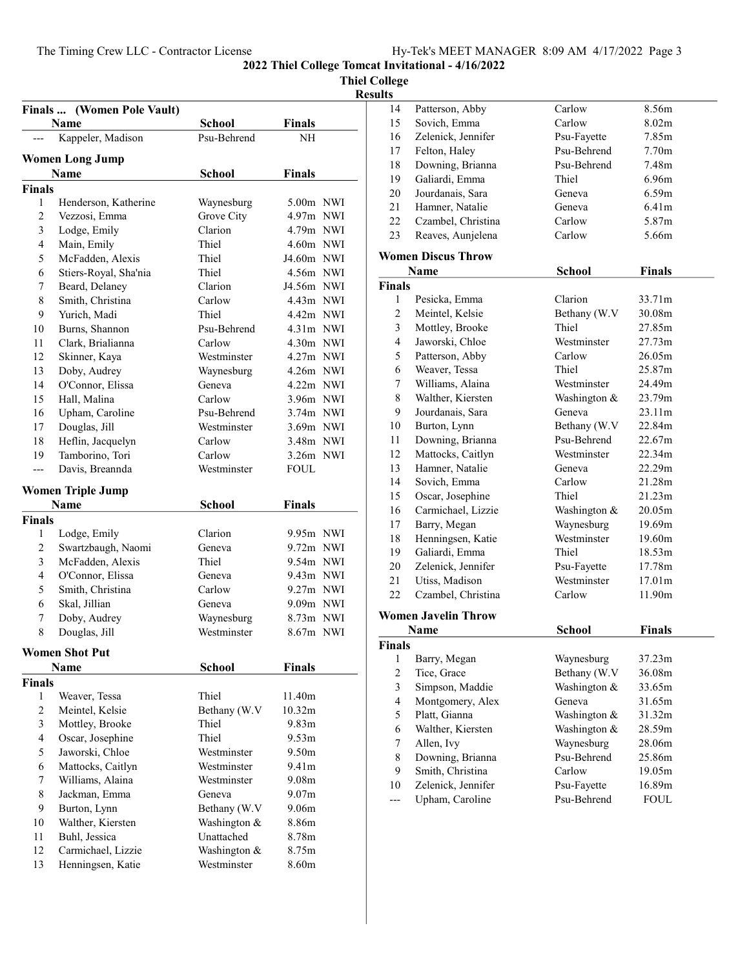2022 Thiel College Tomcat Invitational - 4/16/2022 Thiel College

|                         | Finals  (Women Pole Vault)       |                          |                   |  |
|-------------------------|----------------------------------|--------------------------|-------------------|--|
|                         | <b>Name</b>                      | <b>School</b>            | Finals            |  |
|                         | Kappeler, Madison                | Psu-Behrend              | NH                |  |
|                         | <b>Women Long Jump</b>           |                          |                   |  |
|                         | <b>Name</b>                      | School                   | <b>Finals</b>     |  |
| Finals                  |                                  |                          |                   |  |
| 1                       | Henderson, Katherine             |                          | 5.00m NWI         |  |
| $\mathfrak{2}$          | Vezzosi, Emma                    | Waynesburg<br>Grove City | $4.97m$ NWI       |  |
| 3                       | Lodge, Emily                     | Clarion                  | 4.79m NWI         |  |
| $\overline{4}$          | Main, Emily                      | Thiel                    | $4.60m$ NWI       |  |
| 5                       | McFadden, Alexis                 | Thiel                    | J4.60m NWI        |  |
| 6                       | Stiers-Royal, Sha'nia            | Thiel                    | 4.56m NWI         |  |
| 7                       | Beard, Delaney                   | Clarion                  | J4.56m NWI        |  |
| $\,$ 8 $\,$             | Smith, Christina                 | Carlow                   | $4.43m$ NWI       |  |
| 9                       | Yurich, Madi                     | Thiel                    | 4.42m NWI         |  |
| 10                      | Burns, Shannon                   | Psu-Behrend              | 4.31m NWI         |  |
| 11                      | Clark, Brialianna                | Carlow                   | $4.30m$ NWI       |  |
| 12                      | Skinner, Kaya                    | Westminster              | $4.27m$ NWI       |  |
| 13                      | Doby, Audrey                     | Waynesburg               | 4.26m NWI         |  |
| 14                      | O'Connor, Elissa                 | Geneva                   | $4.22m$ NWI       |  |
| 15                      | Hall, Malina                     | Carlow                   | 3.96m NWI         |  |
| 16                      | Upham, Caroline                  | Psu-Behrend              | 3.74m NWI         |  |
| 17                      | Douglas, Jill                    | Westminster              | 3.69m NWI         |  |
| 18                      | Heflin, Jacquelyn                | Carlow                   | 3.48m NWI         |  |
| 19                      | Tamborino, Tori                  | Carlow                   | $3.26m$ NWI       |  |
| $---$                   | Davis, Breannda                  | Westminster              | <b>FOUL</b>       |  |
|                         |                                  |                          |                   |  |
|                         | <b>Women Triple Jump</b><br>Name | <b>School</b>            | <b>Finals</b>     |  |
| Finals                  |                                  |                          |                   |  |
| 1                       | Lodge, Emily                     | Clarion                  | 9.95m NWI         |  |
| $\overline{c}$          | Swartzbaugh, Naomi               | Geneva                   | 9.72m NWI         |  |
| 3                       | McFadden, Alexis                 | Thiel                    | 9.54m NWI         |  |
| $\overline{4}$          | O'Connor, Elissa                 | Geneva                   | 9.43m NWI         |  |
| 5                       | Smith, Christina                 | Carlow                   | 9.27m NWI         |  |
| 6                       | Skal, Jillian                    | Geneva                   | 9.09m NWI         |  |
| 7                       | Doby, Audrey                     | Waynesburg               | 8.73m NWI         |  |
| 8                       | Douglas, Jill                    | Westminster              | 8.67m NWI         |  |
|                         | <b>Women Shot Put</b>            |                          |                   |  |
|                         | Name                             | <b>School</b>            | <b>Finals</b>     |  |
| <b>Finals</b>           |                                  |                          |                   |  |
| 1                       | Weaver, Tessa                    | Thiel                    | 11.40m            |  |
| $\overline{c}$          | Meintel, Kelsie                  | Bethany (W.V             | 10.32m            |  |
| 3                       | Mottley, Brooke                  | Thiel                    | 9.83 <sub>m</sub> |  |
| $\overline{\mathbf{4}}$ | Oscar, Josephine                 | Thiel                    | 9.53m             |  |
| 5                       | Jaworski, Chloe                  | Westminster              | 9.50m             |  |
| 6                       | Mattocks, Caitlyn                | Westminster              | 9.41m             |  |
| 7                       | Williams, Alaina                 | Westminster              | 9.08m             |  |
| $\,$ $\,$               | Jackman, Emma                    | Geneva                   | 9.07 <sub>m</sub> |  |
| 9                       | Burton, Lynn                     | Bethany (W.V             | 9.06m             |  |
| 10                      | Walther, Kiersten                | Washington &             | 8.86m             |  |
| 11                      | Buhl, Jessica                    | Unattached               | 8.78m             |  |
| 12                      | Carmichael, Lizzie               | Washington &             | 8.75m             |  |
| 13                      | Henningsen, Katie                | Westminster              | 8.60m             |  |

| Results |                                                |                             |                    |
|---------|------------------------------------------------|-----------------------------|--------------------|
|         | Patterson, Abby<br>14                          | Carlow                      | 8.56m              |
|         | 15<br>Sovich, Emma                             | Carlow                      | 8.02 <sub>m</sub>  |
|         | Zelenick, Jennifer<br>16                       | Psu-Fayette                 | 7.85m              |
|         | 17<br>Felton, Haley                            | Psu-Behrend                 | 7.70 <sub>m</sub>  |
|         | 18<br>Downing, Brianna                         | Psu-Behrend                 | 7.48m              |
|         | 19<br>Galiardi, Emma                           | Thiel                       | 6.96m              |
|         | 20<br>Jourdanais, Sara                         | Geneva                      | 6.59m              |
|         | 21<br>Hamner, Natalie                          | Geneva                      | 6.41 <sub>m</sub>  |
|         | 22<br>Czambel, Christina                       | Carlow                      | 5.87m              |
|         | 23<br>Reaves, Aunjelena                        | Carlow                      | 5.66m              |
|         | <b>Women Discus Throw</b>                      |                             |                    |
|         | Name                                           | <b>School</b>               | <b>Finals</b>      |
|         |                                                |                             |                    |
|         | <b>Finals</b><br>Pesicka, Emma<br>$\mathbf{1}$ | Clarion                     | 33.71m             |
|         | $\overline{2}$<br>Meintel, Kelsie              | Bethany (W.V                | 30.08m             |
|         | $\overline{3}$                                 | Thiel                       | 27.85m             |
|         | Mottley, Brooke<br>Jaworski, Chloe<br>4        | Westminster                 | 27.73m             |
|         | 5<br>Patterson, Abby                           | Carlow                      | 26.05m             |
|         | 6                                              | Thiel                       | 25.87m             |
|         | Weaver, Tessa<br>Williams, Alaina<br>7         | Westminster                 | 24.49m             |
|         | 8                                              | Washington &                | 23.79m             |
|         | Walther, Kiersten                              |                             |                    |
|         | 9<br>Jourdanais, Sara                          | Geneva                      | 23.11m<br>22.84m   |
|         | 10<br>Burton, Lynn<br>Downing, Brianna         | Bethany (W.V<br>Psu-Behrend | 22.67m             |
|         | 11                                             | Westminster                 | 22.34m             |
|         | Mattocks, Caitlyn<br>12                        |                             |                    |
|         | 13<br>Hamner, Natalie                          | Geneva                      | 22.29m             |
|         | Sovich, Emma<br>14                             | Carlow                      | 21.28m             |
|         | Oscar, Josephine<br>15                         | Thiel                       | 21.23m             |
|         | Carmichael, Lizzie<br>16                       | Washington &                | 20.05m             |
|         | 17<br>Barry, Megan                             | Waynesburg                  | 19.69m             |
|         | 18<br>Henningsen, Katie                        | Westminster                 | 19.60m             |
|         | 19<br>Galiardi, Emma                           | Thiel                       | 18.53m             |
|         | 20<br>Zelenick, Jennifer                       | Psu-Fayette                 | 17.78m             |
|         | 21<br>Utiss, Madison                           | Westminster                 | 17.01 <sub>m</sub> |
|         | 22<br>Czambel, Christina                       | Carlow                      | 11.90m             |
|         | <b>Women Javelin Throw</b>                     |                             |                    |
|         | Name                                           | <b>School</b>               | <b>Finals</b>      |
|         | <b>Finals</b>                                  |                             |                    |
|         | 1<br>Barry, Megan                              | Waynesburg                  | 37.23m             |
|         | 2<br>Tice, Grace                               | Bethany (W.V                | 36.08m             |
|         | 3<br>Simpson, Maddie                           | Washington &                | 33.65m             |
|         | 4<br>Montgomery, Alex                          | Geneva                      | 31.65m             |
|         | Platt, Gianna<br>5                             | Washington &                | 31.32m             |
|         | Walther, Kiersten<br>6                         | Washington &                | 28.59m             |
|         | 7<br>Allen, Ivy                                | Waynesburg                  | 28.06m             |
|         | Downing, Brianna<br>8                          | Psu-Behrend                 | 25.86m             |
|         | Smith, Christina<br>9                          | Carlow                      | 19.05m             |
|         | Zelenick, Jennifer<br>10                       | Psu-Fayette                 | 16.89m             |
|         | Upham, Caroline<br>---                         | Psu-Behrend                 | <b>FOUL</b>        |
|         |                                                |                             |                    |
|         |                                                |                             |                    |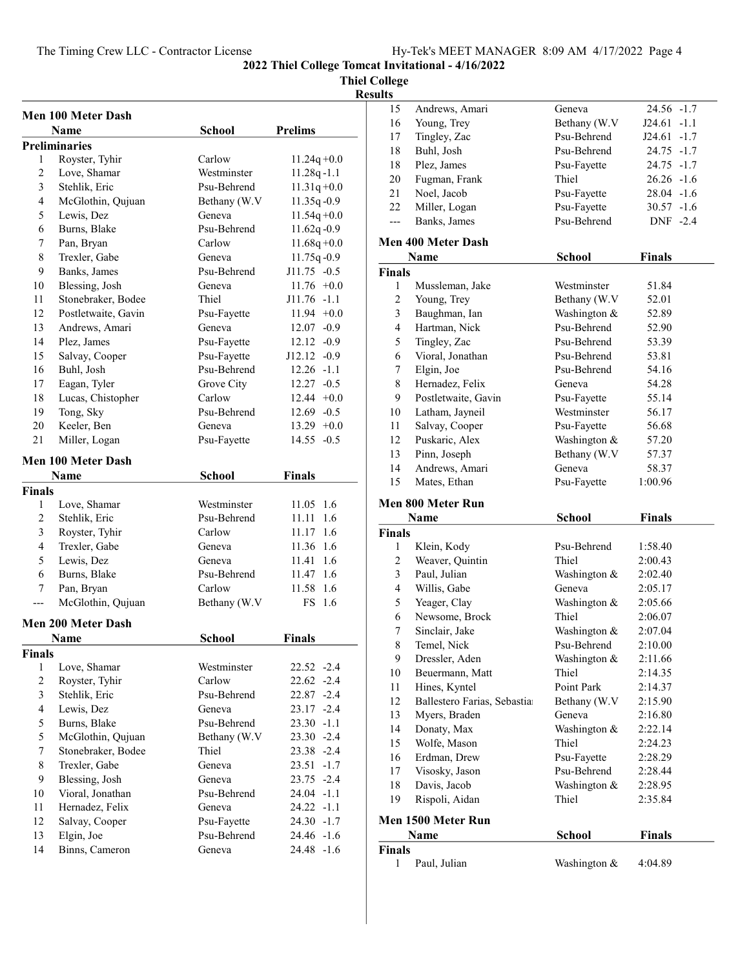Thiel College

Results

|                         | <b>Men 100 Meter Dash</b> |               |                |
|-------------------------|---------------------------|---------------|----------------|
|                         | Name                      | School        | <b>Prelims</b> |
|                         | <b>Preliminaries</b>      |               |                |
| 1                       | Royster, Tyhir            | Carlow        | $11.24q + 0.0$ |
| $\mathbf{2}$            | Love, Shamar              | Westminster   | $11.28q - 1.1$ |
| 3                       | Stehlik, Eric             | Psu-Behrend   | $11.31q + 0.0$ |
| $\overline{4}$          | McGlothin, Qujuan         | Bethany (W.V) | $11.35q - 0.9$ |
| 5                       | Lewis, Dez                | Geneva        | $11.54q + 0.0$ |
| 6                       | Burns, Blake              | Psu-Behrend   | $11.62q - 0.9$ |
| 7                       | Pan, Bryan                | Carlow        | $11.68q + 0.0$ |
| $\,$ 8 $\,$             | Trexler, Gabe             | Geneva        | $11.75q - 0.9$ |
| 9                       | Banks, James              | Psu-Behrend   | J11.75 -0.5    |
| 10                      | Blessing, Josh            | Geneva        | $11.76 +0.0$   |
| 11                      | Stonebraker, Bodee        | Thiel         | $J11.76 -1.1$  |
| 12                      | Postletwaite, Gavin       | Psu-Fayette   | $11.94 +0.0$   |
| 13                      | Andrews, Amari            | Geneva        | $12.07 -0.9$   |
| 14                      | Plez, James               | Psu-Fayette   | $12.12 -0.9$   |
| 15                      | Salvay, Cooper            | Psu-Fayette   | $J12.12 -0.9$  |
| 16                      | Buhl, Josh                | Psu-Behrend   | $12.26 -1.1$   |
| 17                      | Eagan, Tyler              | Grove City    | $12.27 -0.5$   |
| 18                      | Lucas, Chistopher         | Carlow        | $12.44 +0.0$   |
| 19                      | Tong, Sky                 | Psu-Behrend   | $12.69 - 0.5$  |
| 20                      | Keeler, Ben               | Geneva        | $13.29 +0.0$   |
| 21                      | Miller, Logan             | Psu-Fayette   | $14.55 - 0.5$  |
|                         |                           |               |                |
|                         | <b>Men 100 Meter Dash</b> |               |                |
|                         | <b>Name</b>               | <b>School</b> | <b>Finals</b>  |
| Finals                  |                           |               |                |
| 1                       | Love, Shamar              | Westminster   | 11.05<br>1.6   |
| $\overline{c}$          | Stehlik, Eric             | Psu-Behrend   | 11.11 1.6      |
| $\mathfrak{Z}$          | Royster, Tyhir            | Carlow        | 11.17 1.6      |
| $\overline{4}$          | Trexler, Gabe             | Geneva        | 11.36 1.6      |
| 5                       | Lewis, Dez                | Geneva        | 11.41 1.6      |
| 6                       | Burns, Blake              | Psu-Behrend   | 11.47 1.6      |
| 7                       | Pan, Bryan                | Carlow        | 11.58 1.6      |
|                         | McGlothin, Qujuan         | Bethany (W.V  | FS<br>1.6      |
|                         | <b>Men 200 Meter Dash</b> |               |                |
|                         | Name                      | School        | <b>Finals</b>  |
| Finals                  |                           |               |                |
| $\mathbf{1}$            | Love, Shamar              | Westminster   | $22.52 -2.4$   |
| $\overline{c}$          | Royster, Tyhir            | Carlow        | $22.62 -2.4$   |
| $\mathfrak{Z}$          | Stehlik, Eric             | Psu-Behrend   | 22.87 -2.4     |
| $\overline{\mathbf{4}}$ | Lewis, Dez                | Geneva        | $23.17 -2.4$   |
| 5                       | Burns, Blake              | Psu-Behrend   | $23.30 -1.1$   |
| 5                       | McGlothin, Qujuan         | Bethany (W.V  | $23.30 -2.4$   |
| $\tau$                  | Stonebraker, Bodee        | Thiel         | 23.38 -2.4     |
| $\,$ $\,$               | Trexler, Gabe             | Geneva        | $23.51 - 1.7$  |
| 9                       | Blessing, Josh            | Geneva        | 23.75 -2.4     |
| 10                      | Vioral, Jonathan          | Psu-Behrend   | $24.04 -1.1$   |
| 11                      | Hernadez, Felix           | Geneva        | $24.22 -1.1$   |
| 12                      | Salvay, Cooper            | Psu-Fayette   | 24.30 -1.7     |
| 13                      | Elgin, Joe                | Psu-Behrend   | 24.46 -1.6     |
| 14                      | Binns, Cameron            | Geneva        | $24.48 - 1.6$  |
|                         |                           |               |                |

| <b>Finals</b>  | Name                        | School        | <b>Finals</b>    |  |
|----------------|-----------------------------|---------------|------------------|--|
|                |                             |               |                  |  |
|                |                             |               |                  |  |
|                | Men 1500 Meter Run          |               |                  |  |
| 19             | Rispoli, Aidan              | Thiel         | 2:35.84          |  |
| 18             | Davis, Jacob                | Washington &  | 2:28.95          |  |
| 17             | Visosky, Jason              | Psu-Behrend   | 2:28.44          |  |
| 16             | Erdman, Drew                | Psu-Fayette   | 2:28.29          |  |
| 15             | Wolfe, Mason                | Thiel         | 2:24.23          |  |
| 14             | Donaty, Max                 | Washington &  | 2:22.14          |  |
| 13             | Myers, Braden               | Geneva        | 2:16.80          |  |
| 12             | Ballestero Farias, Sebastia | Bethany (W.V  | 2:15.90          |  |
| 11             | Hines, Kyntel               | Point Park    | 2:14.37          |  |
| 10             | Beuermann, Matt             | Thiel         | 2:14.35          |  |
| 9              | Dressler, Aden              | Washington &  | 2:11.66          |  |
| 8              | Temel, Nick                 | Psu-Behrend   | 2:10.00          |  |
| 7              | Sinclair, Jake              | Washington &  | 2:07.04          |  |
| 6              | Newsome, Brock              | Thiel         | 2:06.07          |  |
| 5              | Yeager, Clay                | Washington &  | 2:05.66          |  |
| 4              | Willis, Gabe                | Geneva        | 2:05.17          |  |
| 3              | Paul, Julian                | Washington &  | 2:02.40          |  |
| 2              | Weaver, Quintin             | Thiel         | 2:00.43          |  |
| 1              | Klein, Kody                 | Psu-Behrend   | 1:58.40          |  |
| <b>Finals</b>  |                             |               |                  |  |
|                | Name                        | <b>School</b> | <b>Finals</b>    |  |
|                | Men 800 Meter Run           |               |                  |  |
|                |                             |               |                  |  |
| 15             | Mates, Ethan                | Psu-Fayette   | 1:00.96          |  |
| 14             | Andrews, Amari              | Geneva        | 58.37            |  |
| 13             | Pinn, Joseph                | Bethany (W.V  | 57.37            |  |
| 12             | Puskaric, Alex              | Washington &  | 57.20            |  |
| 11             | Salvay, Cooper              | Psu-Fayette   | 56.68            |  |
| 10             | Latham, Jayneil             | Westminster   | 56.17            |  |
| 9              | Postletwaite, Gavin         | Psu-Fayette   | 55.14            |  |
| 8              | Hernadez, Felix             | Geneva        | 54.28            |  |
| 7              | Elgin, Joe                  | Psu-Behrend   | 54.16            |  |
| 6              | Vioral, Jonathan            | Psu-Behrend   | 53.81            |  |
| 5              | Tingley, Zac                | Psu-Behrend   | 53.39            |  |
| $\overline{4}$ | Hartman, Nick               | Psu-Behrend   | 52.90            |  |
| 3              | Baughman, Ian               | Washington &  | 52.89            |  |
| 2              | Young, Trey                 | Bethany (W.V  | 52.01            |  |
| 1              | Mussleman, Jake             | Westminster   | 51.84            |  |
| <b>Finals</b>  |                             |               |                  |  |
|                | <b>Name</b>                 | <b>School</b> | <b>Finals</b>    |  |
|                | <b>Men 400 Meter Dash</b>   |               |                  |  |
| ---            | Banks, James                | Psu-Behrend   | DNF -2.4         |  |
| 22             | Miller, Logan               | Psu-Fayette   | $30.57 -1.6$     |  |
| 21             | Noel, Jacob                 | Psu-Fayette   | $28.04 -1.6$     |  |
| 20             | Fugman, Frank               | Thiel         | $26.26 -1.6$     |  |
| 18             | Plez, James                 | Psu-Fayette   | $24.75 - 1.7$    |  |
| 18             | Buhl, Josh                  | Psu-Behrend   | 24.75 -1.7       |  |
| 17             | Tingley, Zac                | Psu-Behrend   | J24.61<br>$-1.7$ |  |
| 16             | Young, Trey                 | Bethany (W.V  | J24.61<br>$-1.1$ |  |
| 15             | Andrews, Amari              | Geneva        | 24.56 -1.7       |  |
| uns            |                             |               |                  |  |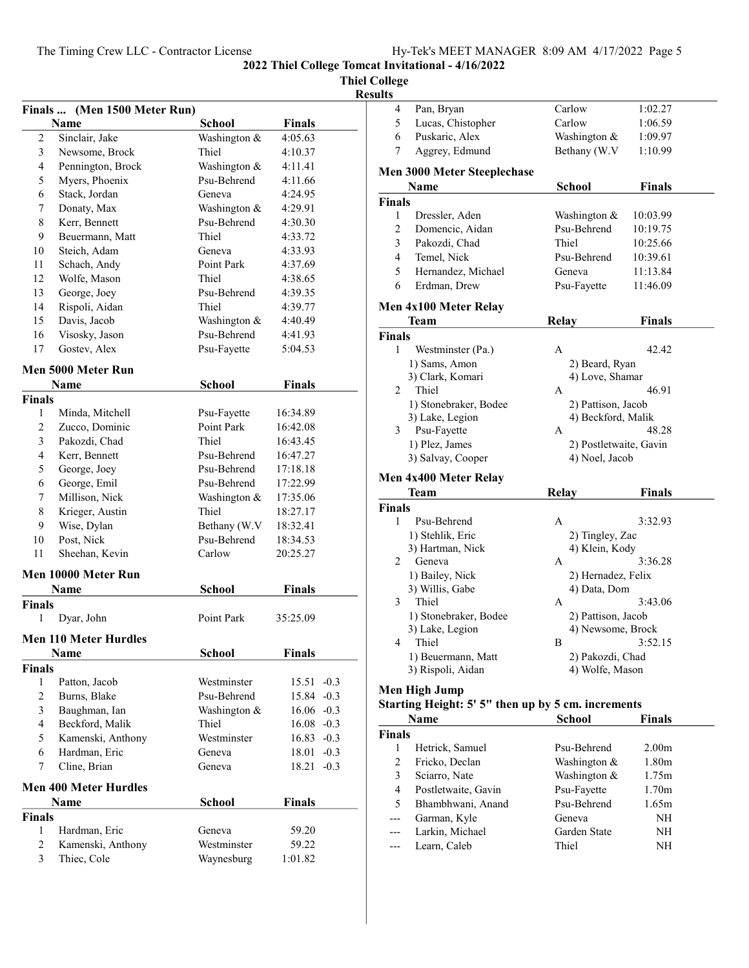## Thiel College

| Results |
|---------|
|---------|

|                | Finals  (Men 1500 Meter Run) |               |               |        |
|----------------|------------------------------|---------------|---------------|--------|
|                | <b>Name</b>                  | School        | Finals        |        |
| 2              | Sinclair, Jake               | Washington &  | 4:05.63       |        |
| 3              | Newsome, Brock               | Thiel         | 4:10.37       |        |
| 4              | Pennington, Brock            | Washington &  | 4:11.41       |        |
| 5              | Myers, Phoenix               | Psu-Behrend   | 4:11.66       |        |
| 6              | Stack, Jordan                | Geneva        | 4:24.95       |        |
| 7              | Donaty, Max                  | Washington &  | 4:29.91       |        |
| 8              | Kerr, Bennett                | Psu-Behrend   | 4:30.30       |        |
| 9              | Beuermann, Matt              | Thiel         | 4:33.72       |        |
| 10             | Steich, Adam                 | Geneva        | 4:33.93       |        |
| 11             | Schach, Andy                 | Point Park    | 4:37.69       |        |
| 12             | Wolfe, Mason                 | Thiel         | 4:38.65       |        |
| 13             | George, Joey                 | Psu-Behrend   | 4:39.35       |        |
| 14             | Rispoli, Aidan               | Thiel         | 4:39.77       |        |
| 15             | Davis, Jacob                 | Washington &  | 4:40.49       |        |
| 16             | Visosky, Jason               | Psu-Behrend   | 4:41.93       |        |
| 17             | Gostev, Alex                 | Psu-Fayette   | 5:04.53       |        |
|                |                              |               |               |        |
|                | Men 5000 Meter Run           |               |               |        |
|                | Name                         | School        | <b>Finals</b> |        |
| <b>Finals</b>  |                              |               |               |        |
| 1              | Minda, Mitchell              | Psu-Fayette   | 16:34.89      |        |
| $\overline{c}$ | Zucco, Dominic               | Point Park    | 16:42.08      |        |
| 3              | Pakozdi, Chad                | Thiel         | 16:43.45      |        |
| 4              | Kerr, Bennett                | Psu-Behrend   | 16:47.27      |        |
| 5              | George, Joey                 | Psu-Behrend   | 17:18.18      |        |
| 6              | George, Emil                 | Psu-Behrend   | 17:22.99      |        |
| 7              | Millison, Nick               | Washington &  | 17:35.06      |        |
| 8              | Krieger, Austin              | Thiel         | 18:27.17      |        |
| 9              | Wise, Dylan                  | Bethany (W.V  | 18:32.41      |        |
| 10             | Post, Nick                   | Psu-Behrend   | 18:34.53      |        |
| 11             | Sheehan, Kevin               | Carlow        | 20:25.27      |        |
|                |                              |               |               |        |
|                | Men 10000 Meter Run          |               |               |        |
|                | <b>Name</b>                  | School        | <b>Finals</b> |        |
| <b>Finals</b>  |                              |               |               |        |
| 1              | Dyar, John                   | Point Park    | 35:25.09      |        |
|                | <b>Men 110 Meter Hurdles</b> |               |               |        |
|                | Name                         | <b>School</b> | <b>Finals</b> |        |
| <b>Finals</b>  |                              |               |               |        |
| 1              | Patton, Jacob                | Westminster   | 15.51         | $-0.3$ |
| $\overline{c}$ | Burns, Blake                 | Psu-Behrend   | 15.84         | $-0.3$ |
| 3              | Baughman, Ian                | Washington &  | $16.06 - 0.3$ |        |
| $\overline{4}$ | Beckford, Malik              | Thiel         | $16.08 - 0.3$ |        |
| 5              | Kamenski, Anthony            | Westminster   | $16.83 - 0.3$ |        |
| 6              | Hardman, Eric                | Geneva        | 18.01         | $-0.3$ |
| 7              | Cline, Brian                 | Geneva        | 18.21         | $-0.3$ |
|                |                              |               |               |        |
|                | <b>Men 400 Meter Hurdles</b> |               |               |        |
|                | Name                         | <b>School</b> | <b>Finals</b> |        |
| <b>Finals</b>  |                              |               |               |        |
| 1              | Hardman, Eric                | Geneva        | 59.20         |        |
| $\overline{2}$ | Kamenski, Anthony            | Westminster   | 59.22         |        |
| 3              | Thiec, Cole                  | Waynesburg    | 1:01.82       |        |

| นเเร                |                                                    |                        |                   |  |
|---------------------|----------------------------------------------------|------------------------|-------------------|--|
| $\overline{4}$      | Pan, Bryan                                         | Carlow                 | 1:02.27           |  |
| 5                   | Lucas, Chistopher                                  | Carlow                 | 1:06.59           |  |
| 6                   | Puskaric, Alex                                     | Washington &           | 1:09.97           |  |
| 7                   | Aggrey, Edmund                                     | Bethany (W.V)          | 1:10.99           |  |
|                     |                                                    |                        |                   |  |
|                     | <b>Men 3000 Meter Steeplechase</b><br>Name         | <b>School</b>          | <b>Finals</b>     |  |
|                     |                                                    |                        |                   |  |
| <b>Finals</b><br>1  |                                                    |                        |                   |  |
|                     | Dressler, Aden                                     | Washington &           | 10:03.99          |  |
| 2                   | Domencic, Aidan                                    | Psu-Behrend            | 10:19.75          |  |
| 3<br>$\overline{4}$ | Pakozdi, Chad                                      | Thiel                  | 10:25.66          |  |
|                     | Temel, Nick                                        | Psu-Behrend            | 10:39.61          |  |
| 5                   | Hernandez, Michael                                 | Geneva                 | 11:13.84          |  |
| 6                   | Erdman, Drew                                       | Psu-Fayette            | 11:46.09          |  |
|                     | Men 4x100 Meter Relay                              |                        |                   |  |
|                     | Team                                               | <b>Relay</b>           | <b>Finals</b>     |  |
| <b>Finals</b>       |                                                    |                        |                   |  |
| 1                   | Westminster (Pa.)                                  | A                      | 42.42             |  |
|                     | 1) Sams, Amon                                      | 2) Beard, Ryan         |                   |  |
|                     | 3) Clark, Komari                                   | 4) Love, Shamar        |                   |  |
| 2                   | Thiel                                              | А                      | 46.91             |  |
|                     | 1) Stonebraker, Bodee                              | 2) Pattison, Jacob     |                   |  |
|                     | 3) Lake, Legion                                    | 4) Beckford, Malik     |                   |  |
| 3                   | Psu-Fayette                                        | A                      | 48.28             |  |
|                     | 1) Plez, James                                     | 2) Postletwaite, Gavin |                   |  |
|                     | 3) Salvay, Cooper                                  | 4) Noel, Jacob         |                   |  |
|                     | Men 4x400 Meter Relay                              |                        |                   |  |
|                     |                                                    |                        |                   |  |
|                     | Team                                               |                        | <b>Finals</b>     |  |
| <b>Finals</b>       |                                                    | <b>Relay</b>           |                   |  |
| 1                   | Psu-Behrend                                        | A                      | 3:32.93           |  |
|                     | 1) Stehlik, Eric                                   | 2) Tingley, Zac        |                   |  |
|                     | 3) Hartman, Nick                                   | 4) Klein, Kody         |                   |  |
| 2                   | Geneva                                             | А                      | 3:36.28           |  |
|                     | 1) Bailey, Nick                                    | 2) Hernadez, Felix     |                   |  |
|                     | 3) Willis, Gabe                                    | 4) Data, Dom           |                   |  |
| 3                   | Thiel                                              | А                      | 3:43.06           |  |
|                     | 1) Stonebraker, Bodee                              | 2) Pattison, Jacob     |                   |  |
|                     | 3) Lake, Legion                                    | 4) Newsome, Brock      |                   |  |
| 4                   | Thiel                                              | В                      | 3:52.15           |  |
|                     | 1) Beuermann, Matt                                 | 2) Pakozdi, Chad       |                   |  |
|                     | 3) Rispoli, Aidan                                  | 4) Wolfe, Mason        |                   |  |
|                     | Men High Jump                                      |                        |                   |  |
|                     | Starting Height: 5' 5" then up by 5 cm. increments |                        |                   |  |
|                     | Name                                               | <b>School</b>          | Finals            |  |
| <b>Finals</b>       |                                                    |                        |                   |  |
| 1                   | Hetrick, Samuel                                    | Psu-Behrend            | 2.00 <sub>m</sub> |  |
| 2                   | Fricko, Declan                                     | Washington &           | 1.80m             |  |
| $\mathfrak{Z}$      | Sciarro, Nate                                      | Washington &           | 1.75m             |  |
| 4                   | Postletwaite, Gavin                                | Psu-Fayette            | 1.70m             |  |
| 5                   | Bhambhwani, Anand                                  | Psu-Behrend            | 1.65m             |  |
| ---                 | Garman, Kyle                                       | Geneva                 | NH                |  |
| ---                 | Larkin, Michael                                    | Garden State           | NH                |  |
| ---                 | Learn, Caleb                                       | Thiel                  | NH                |  |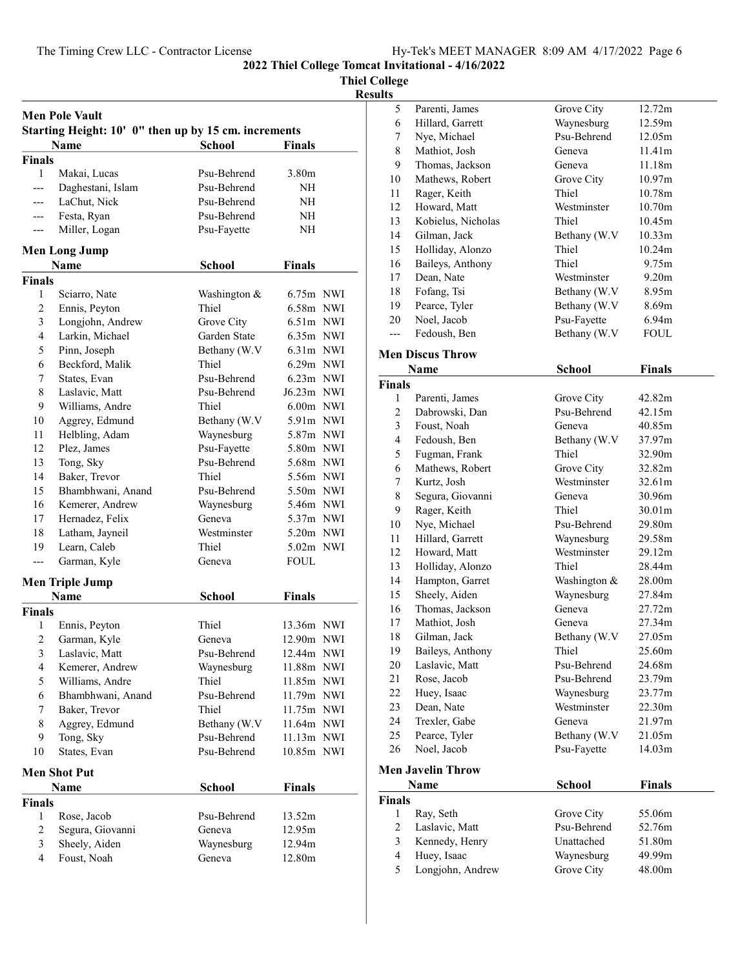## Thiel College

Results

|                     | Starting Height: 10' 0" then up by 15 cm. increments<br><b>Name</b> | <b>School</b>        | <b>Finals</b>    |  |
|---------------------|---------------------------------------------------------------------|----------------------|------------------|--|
| <b>Finals</b>       |                                                                     |                      |                  |  |
| $\mathbf{1}$        | Makai, Lucas                                                        | Psu-Behrend          | 3.80m            |  |
| $---$               | Daghestani, Islam                                                   | Psu-Behrend          | NH               |  |
| ---                 | LaChut, Nick                                                        | Psu-Behrend          | NH               |  |
| $---$               | Festa, Ryan                                                         | Psu-Behrend          | NH               |  |
| ---                 | Miller, Logan                                                       | Psu-Fayette          | NH               |  |
|                     |                                                                     |                      |                  |  |
|                     | <b>Men Long Jump</b><br><b>Name</b>                                 | School               | <b>Finals</b>    |  |
| <b>Finals</b>       |                                                                     |                      |                  |  |
| 1                   | Sciarro, Nate                                                       | Washington &         | 6.75m NWI        |  |
| 2                   | Ennis, Peyton                                                       | Thiel                | 6.58m NWI        |  |
| 3                   | Longjohn, Andrew                                                    | Grove City           | $6.51m$ NWI      |  |
| $\overline{4}$      | Larkin, Michael                                                     | Garden State         | 6.35m NWI        |  |
| 5                   | Pinn, Joseph                                                        | Bethany (W.V)        | $6.31m$ NWI      |  |
| 6                   | Beckford, Malik                                                     | Thiel                | 6.29m NWI        |  |
| 7                   | States, Evan                                                        | Psu-Behrend          | $6.23m$ NWI      |  |
| 8                   | Laslavic, Matt                                                      | Psu-Behrend          | J6.23m NWI       |  |
| 9                   | Williams, Andre                                                     | Thiel                | $6.00m$ NWI      |  |
| 10                  | Aggrey, Edmund                                                      | Bethany (W.V         | 5.91m NWI        |  |
| 11                  | Helbling, Adam                                                      | Waynesburg           | 5.87m NWI        |  |
| 12                  | Plez, James                                                         | Psu-Fayette          | 5.80m NWI        |  |
| 13                  | Tong, Sky                                                           | Psu-Behrend          | 5.68m NWI        |  |
| 14                  | Baker, Trevor                                                       | Thiel                | 5.56m NWI        |  |
| 15                  | Bhambhwani, Anand                                                   | Psu-Behrend          | 5.50m NWI        |  |
| 16                  | Kemerer, Andrew                                                     | Waynesburg           | 5.46m NWI        |  |
| 17                  | Hernadez, Felix                                                     | Geneva               | 5.37m NWI        |  |
| 18                  | Latham, Jayneil                                                     | Westminster          | 5.20m NWI        |  |
| 19                  | Learn, Caleb                                                        | Thiel                | 5.02m NWI        |  |
| $---$               | Garman, Kyle                                                        | Geneva               | FOUL             |  |
|                     |                                                                     |                      |                  |  |
|                     | <b>Men Triple Jump</b><br>Name                                      | <b>School</b>        | <b>Finals</b>    |  |
| <b>Finals</b>       |                                                                     |                      |                  |  |
| 1                   | Ennis, Peyton                                                       | Thiel                | 13.36m NWI       |  |
| 2                   | Garman, Kyle                                                        | Geneva               | 12.90m NWI       |  |
| 3                   | Laslavic, Matt                                                      | Psu-Behrend          | 12.44m NWI       |  |
| $\overline{4}$      | Kemerer, Andrew                                                     | Waynesburg           | 11.88m NWI       |  |
| 5                   | Williams, Andre                                                     | Thiel                | 11.85m NWI       |  |
| 6                   | Bhambhwani, Anand                                                   | Psu-Behrend          | 11.79m NWI       |  |
| 7                   | Baker, Trevor                                                       | Thiel                | 11.75m NWI       |  |
| $\,$ $\,$           | Aggrey, Edmund                                                      | Bethany (W.V         | 11.64m NWI       |  |
| 9                   | Tong, Sky                                                           | Psu-Behrend          | 11.13m NWI       |  |
| 10                  | States, Evan                                                        | Psu-Behrend          | 10.85m NWI       |  |
|                     |                                                                     |                      |                  |  |
|                     | <b>Men Shot Put</b><br>Name                                         | School               | <b>Finals</b>    |  |
|                     |                                                                     |                      |                  |  |
|                     | Rose, Jacob                                                         | Psu-Behrend          | 13.52m           |  |
| <b>Finals</b>       |                                                                     |                      |                  |  |
| 1                   |                                                                     |                      |                  |  |
| $\overline{c}$<br>3 | Segura, Giovanni<br>Sheely, Aiden                                   | Geneva<br>Waynesburg | 12.95m<br>12.94m |  |

| ulto           |                          |              |                    |
|----------------|--------------------------|--------------|--------------------|
| 5              | Parenti, James           | Grove City   | 12.72m             |
| 6              | Hillard, Garrett         | Waynesburg   | 12.59m             |
| 7              | Nye, Michael             | Psu-Behrend  | 12.05m             |
| 8              | Mathiot, Josh            | Geneva       | 11.41m             |
| 9              | Thomas, Jackson          | Geneva       | 11.18m             |
| 10             | Mathews, Robert          | Grove City   | 10.97m             |
| 11             | Rager, Keith             | Thiel        | 10.78m             |
| 12             | Howard, Matt             | Westminster  | 10.70 <sub>m</sub> |
| 13             | Kobielus, Nicholas       | Thiel        | 10.45m             |
| 14             | Gilman, Jack             | Bethany (W.V | 10.33m             |
| 15             | Holliday, Alonzo         | Thiel        | 10.24m             |
| 16             | Baileys, Anthony         | Thiel        | 9.75m              |
|                |                          | Westminster  | 9.20 <sub>m</sub>  |
| 17             | Dean, Nate               |              |                    |
| 18             | Fofang, Tsi              | Bethany (W.V | 8.95m              |
| 19             | Pearce, Tyler            | Bethany (W.V | 8.69m              |
| 20             | Noel, Jacob              | Psu-Fayette  | 6.94m              |
| ---            | Fedoush, Ben             | Bethany (W.V | <b>FOUL</b>        |
|                | <b>Men Discus Throw</b>  |              |                    |
|                | <b>Name</b>              | School       | <b>Finals</b>      |
| <b>Finals</b>  |                          |              |                    |
| 1              | Parenti, James           | Grove City   | 42.82m             |
| $\overline{2}$ | Dabrowski, Dan           | Psu-Behrend  | 42.15m             |
| 3              | Foust, Noah              | Geneva       | 40.85m             |
| 4              | Fedoush, Ben             | Bethany (W.V | 37.97m             |
| 5              | Fugman, Frank            | Thiel        | 32.90m             |
| 6              | Mathews, Robert          | Grove City   | 32.82m             |
| 7              | Kurtz, Josh              | Westminster  | 32.61m             |
| 8              | Segura, Giovanni         | Geneva       | 30.96m             |
| 9              | Rager, Keith             | Thiel        | 30.01m             |
| 10             | Nye, Michael             | Psu-Behrend  | 29.80m             |
| 11             | Hillard, Garrett         | Waynesburg   | 29.58m             |
| 12             | Howard, Matt             | Westminster  | 29.12m             |
| 13             | Holliday, Alonzo         | Thiel        | 28.44m             |
| 14             | Hampton, Garret          | Washington & | 28.00m             |
| 15             | Sheely, Aiden            | Waynesburg   | 27.84m             |
| 16             | Thomas, Jackson          | Geneva       | 27.72m             |
| 17             | Mathiot, Josh            | Geneva       | 27.34m             |
| 18             | Gilman, Jack             | Bethany (W.V | 27.05m             |
| 19             | Baileys, Anthony         | Thiel        | 25.60m             |
| 20             | Laslavic, Matt           | Psu-Behrend  | 24.68m             |
| 21             | Rose, Jacob              | Psu-Behrend  | 23.79m             |
| 22             | Huey, Isaac              | Waynesburg   | 23.77m             |
| 23             | Dean, Nate               | Westminster  | 22.30m             |
| 24             | Trexler, Gabe            | Geneva       | 21.97m             |
| 25             | Pearce, Tyler            | Bethany (W.V | 21.05m             |
| 26             | Noel, Jacob              | Psu-Fayette  | 14.03m             |
|                | <b>Men Javelin Throw</b> |              |                    |
| <b>Name</b>    |                          | School       | <b>Finals</b>      |
| <b>Finals</b>  |                          |              |                    |
| 1              | Ray, Seth                | Grove City   | 55.06m             |
| $\mathfrak{2}$ | Laslavic, Matt           | Psu-Behrend  | 52.76m             |
| 3              | Kennedy, Henry           | Unattached   | 51.80m             |
| 4              | Huey, Isaac              | Waynesburg   | 49.99m             |
| 5              | Longjohn, Andrew         | Grove City   | 48.00m             |
|                |                          |              |                    |